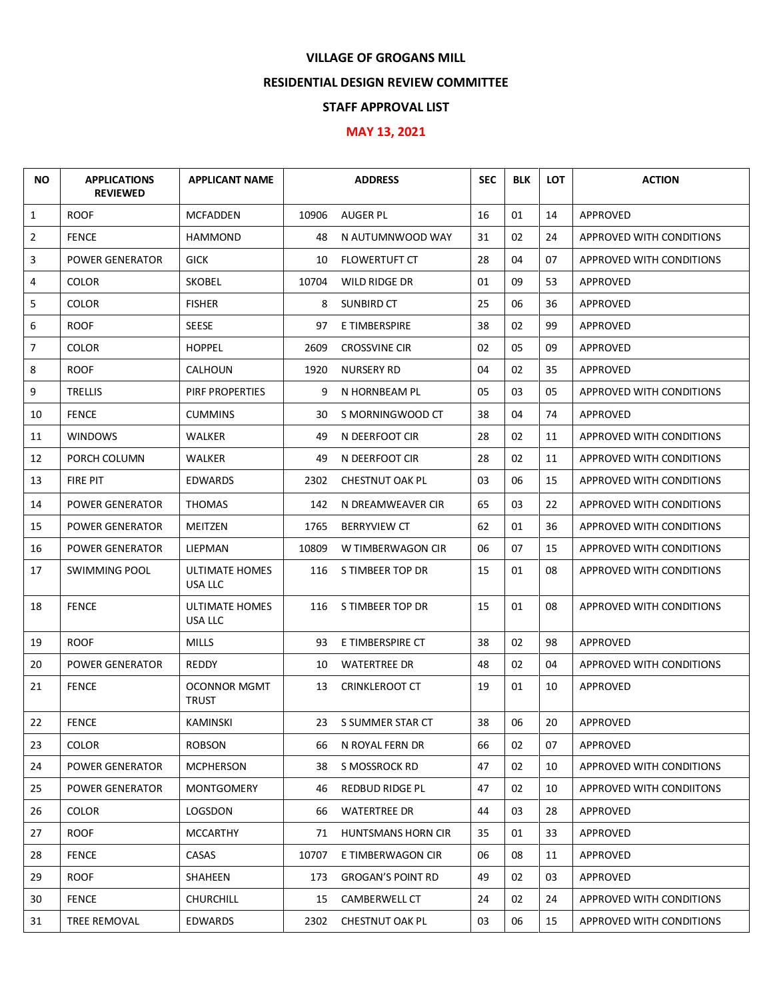## **VILLAGE OF GROGANS MILL**

## **RESIDENTIAL DESIGN REVIEW COMMITTEE**

## **STAFF APPROVAL LIST**

## **MAY 13, 2021**

| <b>NO</b>    | <b>APPLICATIONS</b><br><b>REVIEWED</b> | <b>APPLICANT NAME</b>            |       | <b>ADDRESS</b>            | <b>SEC</b> | <b>BLK</b> | <b>LOT</b> | <b>ACTION</b>                   |
|--------------|----------------------------------------|----------------------------------|-------|---------------------------|------------|------------|------------|---------------------------------|
| $\mathbf{1}$ | <b>ROOF</b>                            | <b>MCFADDEN</b>                  | 10906 | <b>AUGER PL</b>           | 16         | 01         | 14         | APPROVED                        |
| 2            | <b>FENCE</b>                           | <b>HAMMOND</b>                   | 48    | N AUTUMNWOOD WAY          | 31         | 02         | 24         | APPROVED WITH CONDITIONS        |
| 3            | <b>POWER GENERATOR</b>                 | <b>GICK</b>                      | 10    | <b>FLOWERTUFT CT</b>      | 28         | 04         | 07         | APPROVED WITH CONDITIONS        |
| 4            | <b>COLOR</b>                           | <b>SKOBEL</b>                    | 10704 | WILD RIDGE DR             | 01         | 09         | 53         | APPROVED                        |
| 5            | <b>COLOR</b>                           | <b>FISHER</b>                    | 8     | SUNBIRD CT                | 25         | 06         | 36         | APPROVED                        |
| 6            | <b>ROOF</b>                            | SEESE                            | 97    | E TIMBERSPIRE             | 38         | 02         | 99         | APPROVED                        |
| 7            | <b>COLOR</b>                           | <b>HOPPEL</b>                    | 2609  | <b>CROSSVINE CIR</b>      | 02         | 05         | 09         | APPROVED                        |
| 8            | <b>ROOF</b>                            | <b>CALHOUN</b>                   | 1920  | <b>NURSERY RD</b>         | 04         | 02         | 35         | APPROVED                        |
| 9            | <b>TRELLIS</b>                         | PIRF PROPERTIES                  | 9     | N HORNBEAM PL             | 05         | 03         | 05         | APPROVED WITH CONDITIONS        |
| 10           | <b>FENCE</b>                           | <b>CUMMINS</b>                   | 30    | S MORNINGWOOD CT          | 38         | 04         | 74         | APPROVED                        |
| 11           | <b>WINDOWS</b>                         | WALKER                           | 49    | N DEERFOOT CIR            | 28         | 02         | 11         | APPROVED WITH CONDITIONS        |
| 12           | PORCH COLUMN                           | <b>WALKER</b>                    | 49    | N DEERFOOT CIR            | 28         | 02         | 11         | APPROVED WITH CONDITIONS        |
| 13           | FIRE PIT                               | <b>EDWARDS</b>                   | 2302  | CHESTNUT OAK PL           | 03         | 06         | 15         | APPROVED WITH CONDITIONS        |
| 14           | <b>POWER GENERATOR</b>                 | <b>THOMAS</b>                    | 142   | N DREAMWEAVER CIR         | 65         | 03         | 22         | APPROVED WITH CONDITIONS        |
| 15           | POWER GENERATOR                        | MEITZEN                          | 1765  | <b>BERRYVIEW CT</b>       | 62         | 01         | 36         | APPROVED WITH CONDITIONS        |
| 16           | <b>POWER GENERATOR</b>                 | <b>LIEPMAN</b>                   | 10809 | W TIMBERWAGON CIR         | 06         | 07         | 15         | APPROVED WITH CONDITIONS        |
| 17           | <b>SWIMMING POOL</b>                   | <b>ULTIMATE HOMES</b><br>USA LLC | 116   | S TIMBEER TOP DR          | 15         | 01         | 08         | APPROVED WITH CONDITIONS        |
| 18           | <b>FENCE</b>                           | ULTIMATE HOMES<br>USA LLC        | 116   | S TIMBEER TOP DR          | 15         | 01         | 08         | APPROVED WITH CONDITIONS        |
| 19           | <b>ROOF</b>                            | <b>MILLS</b>                     | 93    | E TIMBERSPIRE CT          | 38         | 02         | 98         | APPROVED                        |
| 20           | POWER GENERATOR                        | REDDY                            | 10    | <b>WATERTREE DR</b>       | 48         | 02         | 04         | <b>APPROVED WITH CONDITIONS</b> |
| 21           | <b>FENCE</b>                           | <b>OCONNOR MGMT</b><br>TRUST     | 13    | <b>CRINKLEROOT CT</b>     | 19         | 01         | 10         | <b>APPROVED</b>                 |
| 22           | <b>FENCE</b>                           | KAMINSKI                         |       | 23 S SUMMER STAR CT       | 38         | 06         | 20         | APPROVED                        |
| 23           | <b>COLOR</b>                           | <b>ROBSON</b>                    | 66    | N ROYAL FERN DR           | 66         | 02         | 07         | APPROVED                        |
| 24           | <b>POWER GENERATOR</b>                 | <b>MCPHERSON</b>                 | 38    | S MOSSROCK RD             | 47         | 02         | 10         | APPROVED WITH CONDITIONS        |
| 25           | <b>POWER GENERATOR</b>                 | MONTGOMERY                       | 46    | <b>REDBUD RIDGE PL</b>    | 47         | 02         | 10         | APPROVED WITH CONDIITONS        |
| 26           | <b>COLOR</b>                           | LOGSDON                          | 66    | <b>WATERTREE DR</b>       | 44         | 03         | 28         | APPROVED                        |
| 27           | <b>ROOF</b>                            | <b>MCCARTHY</b>                  | 71    | <b>HUNTSMANS HORN CIR</b> | 35         | 01         | 33         | APPROVED                        |
| 28           | <b>FENCE</b>                           | CASAS                            | 10707 | E TIMBERWAGON CIR         | 06         | 08         | 11         | APPROVED                        |
| 29           | <b>ROOF</b>                            | SHAHEEN                          | 173   | <b>GROGAN'S POINT RD</b>  | 49         | 02         | 03         | APPROVED                        |
| 30           | <b>FENCE</b>                           | <b>CHURCHILL</b>                 | 15    | CAMBERWELL CT             | 24         | 02         | 24         | APPROVED WITH CONDITIONS        |
| 31           | TREE REMOVAL                           | <b>EDWARDS</b>                   | 2302  | <b>CHESTNUT OAK PL</b>    | 03         | 06         | 15         | APPROVED WITH CONDITIONS        |